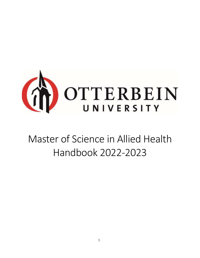

# Master of Science in Allied Health Handbook 2022-2023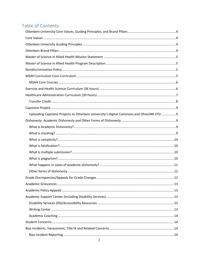# Table of Contents

| Uploading Capstone Projects to Otterbein University's Digital Commons and OhioLINK ETD  9 |  |
|-------------------------------------------------------------------------------------------|--|
|                                                                                           |  |
|                                                                                           |  |
|                                                                                           |  |
|                                                                                           |  |
|                                                                                           |  |
|                                                                                           |  |
|                                                                                           |  |
|                                                                                           |  |
|                                                                                           |  |
|                                                                                           |  |
|                                                                                           |  |
|                                                                                           |  |
|                                                                                           |  |
|                                                                                           |  |
|                                                                                           |  |
|                                                                                           |  |
|                                                                                           |  |
|                                                                                           |  |
|                                                                                           |  |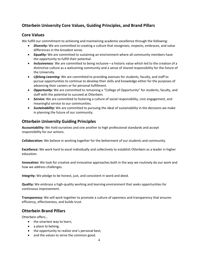### <span id="page-3-0"></span>**Otterbein University Core Values, Guiding Principles, and Brand Pillars**

### <span id="page-3-1"></span>**Core Values**

We fulfill our commitment to achieving and maintaining academic excellence through the following:

- *Diversity:* We are committed to creating a culture that recognizes, respects, embraces, and value differences in the broadest sense.
- *Equality:* We are committed to sustaining an environment where all community members have the opportunity to fulfill their potential.
- *Inclusiveness:* We are committed to being inclusive—a historic value which led to the creation of a distinctive culture as a welcoming community and a sense of shared responsibility for the future of the University.
- *Lifelong Learning:* We are committed to providing avenues for students, faculty, and staff to pursue opportunities to continue to develop their skills and knowledge either for the purposes of advancing their careers or for personal fulfillment.
- *Opportunity:* We are committed to remaining a "College of Opportunity" for students, faculty, and staff with the potential to succeed at Otterbein.
- *Service:* We are committed to fostering a culture of social responsibility, civic engagement, and meaningful service to our communities.
- *Sustainability:* We are committed to pursuing the ideal of sustainability in the decisions we make in planning the future of our community.

### <span id="page-3-2"></span>**Otterbein University Guiding Principles**

**Accountability:** We hold ourselves and one another to high professional standards and accept responsibility for our actions.

**Collaboration:** We believe in working together for the betterment of our students and community.

**Excellence:** We work hard to excel individually and collectively to establish Otterbein as a leader in higher education.

**Innovation:** We look for creative and innovative approaches both in the way we routinely do our work and how we address challenges.

**Integrity:** We pledge to be honest, just, and consistent in word and deed.

**Quality:** We embrace a high-quality working and learning environment that seeks opportunities for continuous improvement.

**Transparency:** We will work together to promote a culture of openness and transparency that ensures efficiency, effectiveness, and builds trust.

### <span id="page-3-3"></span>**Otterbein Brand Pillars**

Otterbein offers…

- the smartest way to learn,
- a place to belong,
- the opportunity to realize one's personal best,
- and the values to serve the common good.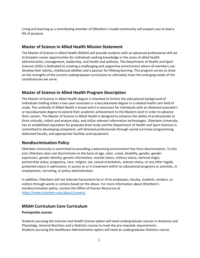Living and learning as a contributing member of Otterbein's model community will prepare you to lead a life of purpose.

### <span id="page-4-0"></span>**Master of Science in Allied Health Mission Statement**

The Master of Science in Allied Health (MSAH) will provide students with an advanced professional skill set to broaden career opportunities for individuals seeking knowledge in the areas of allied health administration, management, leadership, and health and wellness. The Department of Health and Sport Sciences (HSS) is dedicated to creating a challenging and supportive environment where all members can develop their talents, intellectual abilities and a passion for lifelong learning. This program serves to draw on the strengths of the current undergraduate curriculums to ultimately meet the emerging needs of the constituencies we serve.

### <span id="page-4-1"></span>**Master of Science in Allied Health Program Description**

The Master of Science in Allied Health degree is intended to further the educational background of individuals holding either a two-year associate or a baccalaureate degree in a related health care field of study. The umbrella of Allied Health is broad and it is necessary for individuals with an obtained associate's or baccalaureate degree to extend their academic achievement to the Masters level in order to advance their careers. The Master of Science in Allied Health is designed to enhance the ability of professionals to think critically, collect and analyze data, and utilize relevant information technologies. Otterbein University has an established reputation for graduate level study and the Department of Health and Sport Sciences is committed to developing competent, self-directed professionals through sound curricular programming, dedicated faculty, and appropriate facilities and equipment.

### <span id="page-4-2"></span>**Nondiscrimination Policy**

Otterbein University is committed to providing a welcoming environment free from discrimination. To this end, Otterbein does not discriminate on the basis of age, color, creed, disability, gender, gender expression, gender identity, genetic information, marital status, military status, national origin, partnership status, pregnancy, race, religion, sex, sexual orientation, veteran status, or any other legally protected status in admissions, in access to or in treatment within its educational programs or activities, in employment, recruiting, or policy administration.

In addition, Otterbein will not tolerate harassment by or of its employees, faculty, students, vendors, or visitors through words or actions based on the above. For more information about Otterbein's nondiscrimination policy, contact the Office of Human Resources at [https://www.otterbein.edu/about/careers/.](https://www.otterbein.edu/about/careers/)

### <span id="page-4-3"></span>**MSAH Curriculum Core Curriculum**

### **Prerequisite courses**

Students pursuing the *Exercise and Health Science* option will need undergraduate courses in Anatomy and Physiology, General Nutrition and a Statistics course to meet the pre-requisite requirements. Students pursuing the *Healthcare Administration* option will need an undergraduate Statistics course.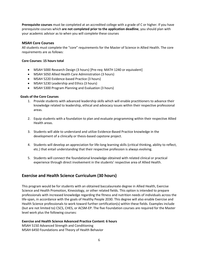**Prerequisite courses** must be completed at an accredited college with a grade of C or higher. If you have prerequisite courses which **are not completed prior to the application deadline**, you should plan with your academic advisor as to when you will complete these courses

### <span id="page-5-0"></span>**MSAH Core Courses**

All students must complete the "core" requirements for the Master of Science in Allied Health. The core requirements are as follows:

### **Core Courses: 15 hours total**

- MSAH 5000 Research Design (3 hours) [Pre-req: MATH 1240 or equivalent]
- MSAH 5050 Allied Health Care Administration (3 hours)
- MSAH 5220 Evidence-based Practice (3 hours)
- MSAH 5230 Leadership and Ethics (3 hours)
- MSAH 5300 Program Planning and Evaluation (3 hours)

### **Goals of the Core Courses**

- 1. Provide students with advanced leadership skills which will enable practitioners to advance their knowledge related to leadership, ethical and advocacy issues within their respective professional areas.
- 2. Equip students with a foundation to plan and evaluate programming within their respective Allied Health areas.
- 3. Students will able to understand and utilize Evidence-Based Practice knowledge in the development of a clinically or thesis-based capstone project.
- 4. Students will develop an appreciation for life-long learning skills (critical thinking, ability to reflect, etc.) that entail understanding that their respective profession is always evolving.
- 5. Students will connect the foundational knowledge obtained with related clinical or practical experience through direct involvement in the students' respective area of Allied Health.

### <span id="page-5-1"></span>**Exercise and Health Science Curriculum (30 hours)**

This program would be for students with an obtained baccalaureate degree in Allied Health, Exercise Science and Health Promotion, Kinesiology, or other related fields. This option is intended to prepare professionals with increased knowledge regarding the fitness and nutrition needs of individuals across the life-span, in accordance with the goals of Healthy People 2030. This degree will also enable Exercise and Health Science professionals to work toward further certification(s) within these fields. Examples include (but are not limited to) CSCS, CHES, or ACSM-EP. The five Foundation courses are required for the Master level work plus the following courses:

### **Exercise and Health Science Advanced Practice Content: 6 hours**

MSAH 5150 Advanced Strength and Conditioning MSAH 6450 Foundations and Theory of Health Behavior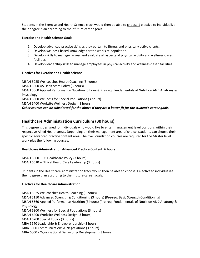Students in the Exercise and Health Science track would then be able to choose 1 elective to individualize their degree plan according to their future career goals.

### **Exercise and Health Science Goals**

- 1. Develop advanced practice skills as they pertain to fitness and physically active clients.
- 2. Develop wellness-based knowledge for the worksite population.
- 3. Develop skills to manage, assess and evaluate all aspects of physical activity and wellness-based facilities.
- 4. Develop leadership skills to manage employees in physical activity and wellness-based facilities.

### **Electives for Exercise and Health Science**

MSAH 5025 Wellcoaches Health Coaching (3 hours) MSAH 5500 US Healthcare Policy (3 hours) MSAH 5660 Applied Performance Nutrition (3 hours) [Pre-req: Fundamentals of Nutrition AND Anatomy & Physiology] MSAH 6300 Wellness for Special Populations (3 hours) MSAH 6400 Worksite Wellness Design (3 hours) *Other courses can be substituted for the above if they are a better fit for the student's career goals.* 

### <span id="page-6-0"></span>**Healthcare Administration Curriculum (30 hours)**

This degree is designed for individuals who would like to enter management level positions within their respective Allied Health areas. Depending on their management area of choice, students can choose their specific advanced practice content area. The five Foundation courses are required for the Master level work plus the following courses:

### **Healthcare Administration Advanced Practice Content: 6 hours**

MSAH 5500 – US Healthcare Policy (3 hours) MSAH 6510 – Ethical HealthCare Leadership (3 hours)

Students in the Healthcare Administration track would then be able to choose 1 elective to individualize their degree plan according to their future career goals.

### **Electives for Healthcare Administration**

MSAH 5025 Wellcoaches Health Coaching (3 hours) MSAH 5150 Advanced Strength & Conditioning (3 hours) [Pre-req: Basic Strength Conditioning] MSAH 5660 Applied Performance Nutrition (3 hours) [Pre-req: Fundamentals of Nutrition AND Anatomy & Physiology] MSAH 6300 Wellness for Special Populations (3 hours) MSAH 6400 Worksite Wellness Design (3 hours) MSAH 6700 Special Topics (3 hours) MBA 5640 Leadership & Entrepreneurship (3 hours) MBA 5800 Communications & Negotiations (3 hours) MBA 6000 - Organizational Behavior & Development (3 hours)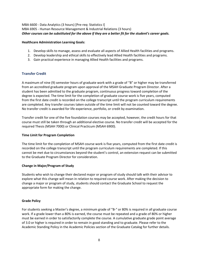MBA 6600 - Data Analytics (3 hours) [Pre-req: Statistics I] MBA 6905 - Human Resource Management & Industrial Relations (3 hours) *Other courses can be substituted for the above if they are a better fit for the student's career goals.* 

### **Healthcare Administration Learning Goals:**

- 1. Develop skills to manage, assess and evaluate all aspects of Allied Health facilities and programs.
- 2. Develop leadership and ethical skills to effectively lead Allied Health facilities and programs.
- 3. Gain practical experience in managing Allied Health facilities and programs.

### <span id="page-7-0"></span>**Transfer Credit**

A maximum of nine (9) semester hours of graduate work with a grade of "B" or higher may be transferred from an accredited graduate program upon approval of the MSAH Graduate Program Director. After a student has been admitted to the graduate program, continuous progress toward completion of the degree is expected. The time limit for the completion of graduate course work is five years, computed from the first date credit is recorded on the college transcript until the program curriculum requirements are completed. Any transfer courses taken outside of the time limit will not be counted toward the degree. No transfer credit is awarded for life experience, portfolio, or credit by examination.

Transfer credit for one of the five foundation courses may be accepted, however, the credit hours for that course must still be taken through an additional elective course. No transfer credit will be accepted for the required Thesis (MSAH 7000) or Clinical Practicum (MSAH 6900).

### **Time Limit for Program Completion**

The time limit for the completion of MSAH course work is five years, computed from the first date credit is recorded on the college transcript until the program curriculum requirements are completed. If this cannot be met due to circumstances beyond the student's control, an extension request can be submitted to the Graduate Program Director for consideration.

### **Change in Major/Program of Study**

Students who wish to change their declared major or program of study should talk with their advisor to explore what this change will mean in relation to required course work. After making the decision to change a major or program of study, students should contact the Graduate School to request the appropriate form for making the change.

### **Grade Policy**

For students seeking a Master's degree, a minimum grade of "B-" or 80% is required in all graduate course work. If a grade lower than a 80% is earned, the course must be repeated and a grade of 80% or higher must be earned in order to satisfactorily complete the course. A cumulative graduate grade point average of 3.0 or higher is required in order to remain in good standing and to graduate. Please refer to the Academic Standing Policy in the Academic Policies section of the Graduate Catalog for further details.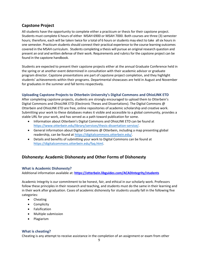### <span id="page-8-0"></span>**Capstone Project**

All students have the opportunity to complete either a practicum or thesis for their capstone project. Students must complete 6 hours of either MSAH 6900 or MSAH 7000. Both courses are three (3) semester hours; therefore, each will be taken twice for a total of 6 hours or students may elect to take all six hours in one semester. Practicum students should connect their practical experience to the course learning outcomes covered in the MSAH curriculum. Students completing a thesis will pursue an original research question and present an oral and written defense of their work. Requirements and rubrics for the capstone project can be found in the capstone handbook.

Students are expected to present their capstone projects either at the annual Graduate Conference held in the spring or at another event determined in consultation with their academic advisor or graduate program director. Capstone presentations are part of capstone project completion, and they highlight students' achievements within their programs. Departmental showcases are held in August and November for graduates in the summer and fall terms respectively.

### <span id="page-8-1"></span>**Uploading Capstone Projects to Otterbein University's Digital Commons and OhioLINK ETD**

After completing capstone projects, students are strongly encouraged to upload them to Otterbein's Digital Commons and OhioLINK ETD (Electronic Theses and Dissertations). The Digital Commons @ Otterbein and OhioLINK ETD are free, online repositories of academic scholarship and creative work. Submitting your work to these databases makes it visible and accessible to a global community, provides a stable URL for your work, and has served as a path toward publication for some.

- Information about Otterbein's Digital Commons and OhioLINK ETD can be found at [https://www.otterbein.edu/library/services/thesis-dissertation-service/.](https://www.otterbein.edu/library/services/thesis-dissertation-service/)
- General information about Digital Commons @ Otterbein, including a map presenting global readership, can be found a[t https://digitalcommons.otterbein.edu/.](https://digitalcommons.otterbein.edu/)
- Details and benefits of submitting your work to Digital Commons can be found at [https://digitalcommons.otterbein.edu/faq.html.](https://digitalcommons.otterbein.edu/faq.html)

### <span id="page-8-2"></span>**Dishonesty: Academic Dishonesty and Other Forms of Dishonesty**

### <span id="page-8-3"></span>**What is Academic Dishonesty?**

Additional information available at: **<https://otterbein.libguides.com/ACADIntegrity/students>**

Academic Integrity is our commitment to be honest, fair, and ethical in our scholarly work. Professors follow these principles in their research and teaching, and students must do the same in their learning and in their work after graduation. Cases of academic dishonesty for students usually fall in the following five categories:

- Cheating
- Complicity
- Falsification
- Multiple submission
- Plagiarism

### <span id="page-8-4"></span>**What is cheating?**

Cheating is any attempt to receive assistance in the completion of an assignment or exam from other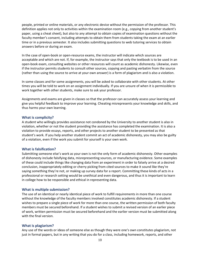people, printed or online materials, or any electronic device without the permission of the professor. This definition applies not only to activities within the examination room (e.g., copying from another student's paper, using a cheat sheet), but also to any attempt to obtain copies of examination questions without the faculty member's consent, including attempts to obtain them from students taking the exam at an earlier time or in a previous semester. It also includes submitting questions to web tutoring services to obtain answers before or during an exam.

In the case of open-book or open-resource exams, the instructor will indicate which sources are acceptable and which are not. If, for example, the instructor says that only the textbook is to be used in an open-book exam, consulting websites or other resources will count as academic dishonesty. Likewise, even if the instructor permits students to consult other sources, copying and pasting verbatim from the source (rather than using the source to arrive at your own answer) is a form of plagiarism and is also a violation.

In some classes and for some assignments, you will be asked to collaborate with other students. At other times you will be told to work on an assignment individually. If you are unsure of when it is permissible to work together with other students, make sure to ask your professor.

Assignments and exams are given in classes so that the professor can accurately assess your learning and give you helpful feedback to improve your learning. Cheating misrepresents your knowledge and skills, and thus harms your own learning.

### <span id="page-9-0"></span>**What is complicity?**

A student who willingly provides assistance not condoned by the University to another student is also in violation, whether or not the student providing the assistance has completed the examination. It is also a violation to provide essays, reports, and other projects to another student to be presented as that student's work. If you help another student commit an act of academic dishonesty, you may also be guilty of a violation, even if the work you submit for yourself is your own work.

### <span id="page-9-1"></span>**What is falsification?**

Submitting someone else's work as your own is not the only form of academic dishonesty. Other examples of dishonesty include falsifying data, misrepresenting sources, or manufacturing evidence. Some examples of these could include things like changing data from an experiment in order to falsely arrive at a desired conclusion, inappropriately editing or cherry picking from cited sources to make it sound like they're saying something they're not, or making up survey data for a report. Committing these kinds of acts in a professional or research setting would be unethical and even dangerous, and thus it is important to learn in college how to be responsible and ethical in representing data.

#### <span id="page-9-2"></span>**What is multiple submission?**

The use of an identical or nearly identical piece of work to fulfill requirements in more than one course without the knowledge of the faculty members involved constitutes academic dishonesty. If a student wishes to prepare a single piece of work for more than one course, the written permission of both faculty members must be secured beforehand. If a student wishes to submit a revised version of an earlier piece of work, written permission must be secured beforehand and the earlier version must be submitted along with the final version.

#### <span id="page-9-3"></span>**What is plagiarism?**

Any use of the words or ideas of someone else as though they were one's own constitutes plagiarism, not just in formal papers, but in any writing that you do for a class, including homework, reports, and other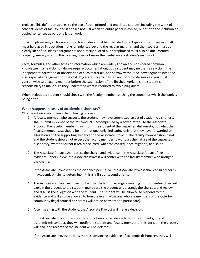projects. This definition applies to the use of both printed and unprinted sources, including the work of other students or faculty, and it applies not just when an entire paper is copied, but also to the inclusion of copied sentences as part of a larger work.

To avoid plagiarism, all borrowed words and ideas must be fully cited. Direct quotations, however small, must be placed in quotation marks or indented beyond the regular margins, and their sources must be clearly identified. Ideas or arguments not directly quoted but paraphrased must also be documented properly; merely altering the wording does not make their substance a student's own work.

Facts, formulas, and other types of information which are widely known and considered common knowledge in a field do not always require documentation, but a student may neither falsely claim the independent derivation or observation of such materials, nor borrow without acknowledgment someone else's special arrangement or use of it. If you are uncertain when and how to cite sources, you must consult with said faculty member before the submission of the finished work. It is the student's responsibility to make sure they understand what is required to avoid plagiarism.

When in doubt, a student should check with the faculty member teaching the course for which the work is being done.

### <span id="page-10-0"></span>**What happens in cases of academic dishonesty?**

Otterbein University follows the following process:

- 1. A faculty member who suspects the student may have committed an act of academic dishonesty shall submit evidence of the misconduct—accompanied by a cover letter—to the Associate Provost. The faculty member may inform the student of the suspected dishonesty, but what the faculty member says should be informational only, indicating only that they have forwarded an allegation and the supporting evidence to the Associate Provost. The faculty member should not and the student should not expect the faculty member to—discuss the nature of the suspected dishonesty, whether or not it really occurred, what the consequence might be, and so on.
- 2. The Associate Provost shall assess the charge and evidence. If the Associate Provost finds the evidence unpersuasive, the Associate Provost will confer with the faculty member who brought the charge.
- 3. If the Associate Provost finds the evidence persuasive, the Associate Provost shall consult records in Academic Affairs to determine if this is a first or second offense.
- 4. The Associate Provost will then contact the student to arrange a meeting. In this meeting, they will explain the process to the student, make sure the student understands the charges, and review and discuss the allegation with the student. The student will be allowed to respond to the evidence and will also be allowed to bring relevant witnesses who are members of the Otterbein community (legal counsel or parents will not be permitted to participate).
- 5. After meeting with the student, the Associate Provost will make a decision.

If the Associate Provost decides there is not enough evidence to find the student guilty of academic misconduct, they will notify the student and faculty member of this decision, the process will end, and records of the incident will be deleted.

If the Associate Provost decides there is convincing evidence of academic dishonesty, they will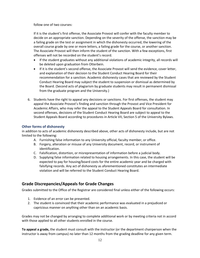follow one of two courses:

If it is the student's first offense, the Associate Provost will confer with the faculty member to decide on an appropriate sanction. Depending on the severity of the offense, the sanction may be a failing grade on the test or assignment in which the dishonesty occurred, the lowering of the overall course grade by one or more letters, a failing grade for the course, or another sanction. The Associate Provost will then inform the student of the sanction. With a few exceptions, first offenses will not be recorded on the student's record.

- If the student graduates without any additional violations of academic integrity, all records will be deleted upon graduation from Otterbein.
- If it is the student's second offense, the Associate Provost will send the evidence, cover letter, and explanation of their decision to the Student Conduct Hearing Board for their recommendation for a sanction. Academic dishonesty cases that are reviewed by the Student Conduct Hearing Board may subject the student to suspension or dismissal as determined by the Board. (Second acts of plagiarism by graduate students may result in permanent dismissal from the graduate program and the University.)
- 6. Students have the right to appeal any decisions or sanctions. For first offenses, the student may appeal the Associate Provost's finding and sanction through the Provost and Vice President for Academic Affairs, who may refer the appeal to the Student Appeals Board for consultation. In second offenses, decisions of the Student Conduct Hearing Board are subject to appeal to the Student Appeals Board according to procedures in Article VII, Section 5 of the University Bylaws.

### <span id="page-11-0"></span>**Other forms of dishonesty**

in addition to acts of academic dishonesty described above, other acts of dishonesty include, but are not limited to the following:

- A. Furnishing false information to any University official, faculty member, or office.
- B. Forgery, alteration or misuse of any University document, record, or instrument of identification.
- C. Falsification, distortion, or misrepresentation of information before a judicial body.
- D. Supplying false information related to housing arrangements. In this case, the student will be expected to pay for housing/board costs for the entire academic year and be charged with falsifying records. Any act of dishonesty as aforementioned constitutes an intermediate violation and will be referred to the Student Conduct Hearing Board.

### <span id="page-11-1"></span>**Grade Discrepancies/Appeals for Grade Changes**

Grades submitted to the Office of the Registrar are considered final unless either of the following occurs:

- 1. Evidence of an error can be presented.
- 2. The student is convinced that their academic performance was evaluated in a prejudiced or capricious manner on anything other than on an academic basis.

Grades may not be changed by arranging to complete additional work or by meeting criteria not in accord with those applied to all other students enrolled in the course.

**To appeal a grade,** the student must consult with the instructor (or the department chairperson when the instructor is away from campus) no later than 12 months from the grading deadline for any given term.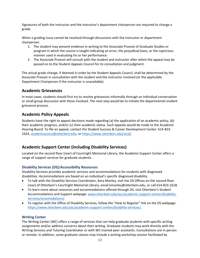Signatures of both the instructor and the instructor's department chairperson are required to change a grade.

When a grading issue cannot be resolved through discussions with the instructor or department chairperson

- 1. The student may present evidence in writing to the Associate Provost of Graduate Studies or program in which the course is taught indicating an error, the prejudicial basis, or the capricious manner used in evaluating his or her performance.
- 2. The Associate Provost will consult with the student and instructor after which the appeal may be passed on to the Student Appeals Council for its consultation and judgment.

The actual grade change, if deemed in order by the Student Appeals Council, shall be determined by the Associate Provost in consultation with the student and the instructor involved (or the applicable Department Chairperson if the instructor is unavailable).

### <span id="page-12-0"></span>**Academic Grievances**

In most cases, students should first try to resolve grievances informally through an individual conversation or small group discussion with those involved. The next step would be to initiate the departmental student grievance process.

### <span id="page-12-1"></span>**Academic Policy Appeals**

Students have the right to appeal decisions made regarding (a) the application of an academic policy, (b) their academic progress, and/or (c) their academic status. Such appeals would be made to the Academic Hearing Board. To file an appeal, contact the Student Success & Career Development Center: 614-823- 1624[, studentsuccess@otterbein.edu,](mailto:studentsuccess@otterbein.edu) o[r https://www.otterbein.edu/sscd/.](https://www.otterbein.edu/sscd/)

### <span id="page-12-2"></span>**Academic Support Center (including Disability Services)**

Located on the second floor (rear) of Courtright Memorial Library, the Academic Support Center offers a range of support services for graduate students.

### <span id="page-12-3"></span>**Disability Services (DS)/Accessibility Resources**

Disability Services provides academic services and accommodations for students with diagnosed disabilities. Accommodations are based on an individual's specific diagnosed disability.

- To talk with the Disability Services Coordinator, Kera Manley, visit the DS Offices on the second floor (rear) of Otterbein's Courtright Memorial Library, email [kmanley@otterbein.edu,](mailto:kmanley@otterbein.edu) or call 614-823-1618.
- To learn more about resources and accommodations offered through DS, visit Otterbein's Student Accommodations and Support webpage: [www.otterbein.edu/asc/academic-support-center/disability](http://www.otterbein.edu/asc/academic-support-center/disability-services/accomodations/)[services/accomodations/.](http://www.otterbein.edu/asc/academic-support-center/disability-services/accomodations/)
- To register with the Office of Disability Services, follow the "How to Register" link on the DS webpage: [https://www.otterbein.edu/asc/academic-support-center/disability-services/.](https://www.otterbein.edu/asc/academic-support-center/disability-services/)

### <span id="page-12-4"></span>**Writing Center**

The Writing Center (WC) offers a range of services that can help graduate students with specific writing assignments and/or address concerns about their writing. Graduate students may work directly with the Writing Services and Tutoring Coordinator or with WC-trained peer assistants. Consultations are in-person or remote. In addition, some graduate classes may include a writing workshop session facilitated by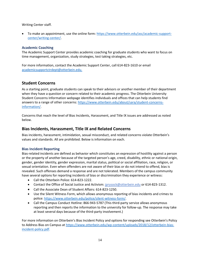Writing Center staff.

• To make an appointment, use the online form: [https://www.otterbein.edu/asc/academic-support](https://www.otterbein.edu/asc/academic-support-center/writing-center/)[center/writing-center/.](https://www.otterbein.edu/asc/academic-support-center/writing-center/)

### <span id="page-13-0"></span>**Academic Coaching**

The Academic Support Center provides academic coaching for graduate students who want to focus on time management, organization, study strategies, test taking strategies, etc.

For more information, contact the Academic Support Center, call 614-823-1610 or email [academicsupportctrdept@otterbein.edu.](mailto:academicsupportctrdept@otterbein.edu)

### <span id="page-13-1"></span>**Student Concerns**

As a starting point, graduate students can speak to their advisors or another member of their department when they have a question or concern related to their academic progress. The Otterbein University Student Concerns Information webpage identifies individuals and offices that can help students find answers to a range of other concerns[: https://www.otterbein.edu/about/sara/student-concerns](https://www.otterbein.edu/about/sara/student-concerns-information/)[information/.](https://www.otterbein.edu/about/sara/student-concerns-information/)

Concerns that reach the level of Bias Incidents, Harassment, and Title IX issues are addressed as noted below.

### <span id="page-13-2"></span>**Bias Incidents, Harassment, Title IX and Related Concerns**

Bias incidents, harassment, intimidation, sexual misconduct, and related concerns violate Otterbein's values and standards. All are prohibited. Below is information on each.

### <span id="page-13-3"></span>**Bias Incident Reporting**

Bias-related incidents are defined as behavior which constitutes an expression of hostility against a person or the property of another because of the targeted person's age, creed, disability, ethnic or national origin, gender, gender identity, gender expression, marital status, political or social affiliation, race, religion, or sexual orientation. Even when offenders are not aware of their bias or do not intend to offend, bias is revealed. Such offenses demand a response and are not tolerated. Members of the campus community have several options for reporting incidents of bias or discrimination they experience or witness:

- Call the Otterbein Police: 614-823-1222.
- Contact the Office of Social Justice and Activism: [jprysock@otterbein.edu](mailto:jprysock@otterbein.edu;) or 614-823-1312.
- Call the Associate Dean of Student Affairs: 614-823-1250.
- Use the Silent Witness Form, which allows anonymous reporting of bias incidents and crimes to police: [https://www.otterbein.edu/police/silent-witness-form/.](https://www.otterbein.edu/police/silent-witness-form/)
- Call the Campus Conduct Hotline: 866-943-5787 (This third-party service allows anonymous reporting and then reports the information to the university for follow-up. The response may take at least several days because of the third-party involvement.)

For more information on Otterbein's Bias Incident Policy and options for responding see Otterbein's Policy to Address Bias on Campus a[t https://www.otterbein.edu/wp-content/uploads/2018/12/otterbein-bias](https://www.otterbein.edu/wp-content/uploads/2018/12/otterbein-bias-incident-policy.pdf)[incident-policy.pdf.](https://www.otterbein.edu/wp-content/uploads/2018/12/otterbein-bias-incident-policy.pdf)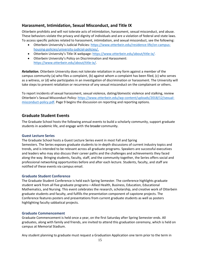### <span id="page-14-0"></span>**Harassment, Intimidation, Sexual Misconduct, and Title IX**

Otterbein prohibits and will not tolerate acts of intimidation, harassment, sexual misconduct, and abuse. These behaviors violate the privacy and dignity of individuals and are a violation of federal and state laws. To access specific policies related to harassment, intimidation, and sexual misconduct, see the following:

- Otterbein University's Judicial Policies: [https://www.otterbein.edu/residence-life/on-campus](https://www.otterbein.edu/residence-life/on-campus-housing-policies/university-judicial-policies/)[housing-policies/university-judicial-policies/.](https://www.otterbein.edu/residence-life/on-campus-housing-policies/university-judicial-policies/)
- Otterbein University's Title IX webpage: [https://www.otterbein.edu/about/title-ix/.](https://www.otterbein.edu/about/title-ix/)
- Otterbein University's Policy on Discrimination and Harassment: [https://www.otterbein.edu/about/title-ix/.](https://www.otterbein.edu/about/title-ix/)

*Retaliation.* Otterbein University does not tolerate retaliation in any form against a member of the campus community (a) who files a complaint, (b) against whom a complaint has been filed, (c) who serves as a witness, or (d) who participates in an investigation of discrimination or harassment. The University will take steps to prevent retaliation or recurrence of any sexual misconduct on the complainant or others.

To report incidents of sexual harassment, sexual violence, dating/domestic violence and stalking, review Otterbein's Sexual Misconduct Policy: [https://www.otterbein.edu/wp-content/uploads/2018/12/sexual](https://www.otterbein.edu/wp-content/uploads/2018/12/sexual-misconduct-policy.pdf)[misconduct-policy.pdf.](https://www.otterbein.edu/wp-content/uploads/2018/12/sexual-misconduct-policy.pdf) Page 9 begins the discussion on reporting and reporting options.

### <span id="page-14-1"></span>**Graduate Student Events**

The Graduate School hosts the following annual events to build a scholarly community, support graduate students in academic life, and engage with the broader community.

### <span id="page-14-2"></span>**Guest Lecture Series**

The Graduate School hosts a Guest Lecture Series event in most Fall and Spring Semesters. The Series exposes graduate students to in-depth discussions of current industry topics and trends, and is intended to be relevant across all graduate programs. Speakers are successful executives and leaders who may also discuss their career paths and the challenges and achievements they faced along the way. Bringing students, faculty, staff, and the community together, the Series offers social and professional networking opportunities before and after each lecture. Students, faculty, and staff are notified of these events via campus email.

### <span id="page-14-3"></span>**Graduate Student Conference**

The Graduate Student Conference is held each Spring Semester. The conference highlights graduate student work from all five graduate programs—Allied Health, Business, Education, Educational Mathematics, and Nursing. This event celebrates the research, scholarship, and creative work of Otterbein graduate students and faculty, and fulfills the presentation component of capstone projects. The Conference features posters and presentations from current graduate students as well as posters highlighting faculty sabbatical projects.

### <span id="page-14-4"></span>**Graduate Commencement**

Graduate Commencement is held once a year, on the first Saturday after Spring Semester ends. All graduates, along with family and friends, are invited to attend this graduation ceremony, which is held on campus at Memorial Stadium.

Any student planning to graduate must request a Graduation Application one term prior to the term in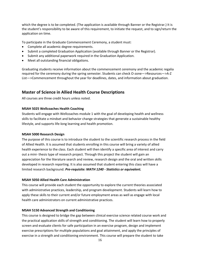which the degree is to be completed. (The application is available through Banner or the Registrar.) It is the student's responsibility to be aware of this requirement, to initiate the request, and to sign/return the application on time.

To participate in the Graduate Commencement Ceremony, a student must:

- Complete all academic degree requirements.
- Submit a completed Graduation Application (available through Banner or the Registrar).
- Submit any additional paperwork required in the Graduation Application.
- Meet all outstanding financial obligations.

Graduating students receive information about the commencement ceremony and the academic regalia required for the ceremony during the spring semester. Students can check O-zone—>Resources—>A-Z List—>Commencement throughout the year for deadlines, dates, and information about graduation.

### <span id="page-15-0"></span>**Master of Science in Allied Health Course Descriptions**

All courses are three credit hours unless noted.

#### **MSAH 5025 Wellcoaches Health Coaching**

Students will engage with Wellcoaches module 1 with the goal of developing health and wellness skills to facilitate a mindset and behavior change strategies that generate a sustainable healthy lifestyle, and supports life-long learning and health promotion.

#### **MSAH 5000 Research Design**

The purpose of this course is to introduce the student to the scientific research process in the field of Allied Health. It is assumed that students enrolling in this course will bring a variety of allied health experience to the class. Each student will then identify a specific area of interest and carry out a mini- thesis type of research project. Through this project the student will gain an appreciation for the literature search and review, research design and the oral and written skills developed in research reporting. It is also assumed that student entering this class will have a limited research background. *Pre-requisite: MATH 1240 - Statistics or equivalent.*

#### **MSAH 5050 Allied Health Care Administration**

This course will provide each student the opportunity to explore the current theories associated with administrative practices, leadership, and program development. Students will learn how to apply these skills to their current and/or future employment areas as well as engage with local health care administrators on current administrative practices.

#### **MSAH 5150 Advanced Strength and Conditioning**

This course is designed to bridge the gap between clinical exercise science related course work and the practical application skills of strength and conditioning. The student will learn how to properly screen and evaluate clients for safe participation in an exercise program, design and implement exercise prescriptions for multiple populations and goal attainment, and apply the principles of exercise in a strength and conditioning environment. This course will prepare the student to take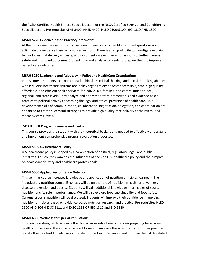the ACSM Certified Health Fitness Specialist exam or the NSCA Certified Strength and Conditioning Specialist exam. Pre-requisite ATHT 3400, PHED 4400, HLED 2100/5100, BIO 1810 AND 1820

#### **MSAH 5220 Evidence-based Practice/Informatics I**

At the unit or micro-level, students use research methods to identify pertinent questions and articulate the evidence base for practice decisions. There is an opportunity to investigate evolving technologies that deliver, enhance, and document care with an emphasis on cost-effectiveness, safety and improved outcomes. Students use and analyze data sets to prepare them to improve patient care outcomes.

#### **MSAH 5230 Leadership and Advocacy in Policy and HealthCare Organizations**

In this course, students incorporate leadership skills, critical thinking, and decision-making abilities within diverse healthcare systems and policy organizations to foster accessible, safe, high quality, affordable, and efficient health services for individuals, families, and communities at local, regional, and state levels. They analyze and apply theoretical frameworks and evidence based practice to political activity concerning the legal and ethical provisions of health care. Role development skills of communication, collaboration, negotiation, delegation, and coordination are enhanced to create successful strategies to provide high quality care delivery at the micro- and macro-systems levels.

#### **MSAH 5300 Program Planning and Evaluation**

This course provides the student with the theoretical background needed to effectively understand and implement comprehensive program evaluation processes.

#### **MSAH 5500 US HealthCare Policy**

U.S. healthcare policy is shaped by a combination of political, regulatory, legal, and public initiatives. This course examines the influences of each on U.S. healthcare policy and their impact on healthcare delivery and healthcare professionals.

#### **MSAH 5660 Applied Performance Nutrition**

This seminar course increases knowledge and application of nutrition principles learned in the introductory nutrition course. Emphasis will be on the role of nutrition in health and wellness, disease prevention and obesity. Students will gain additional knowledge in principles of sports nutrition and its role in performance. We will also explore food sustainability and food safety. Current issues in nutrition will be discussed. Students will improve their confidence in applying nutrition principles based on evidence-based nutrition research and practice. Pre-requisites HLED 2100 AND BOTH EXSC 1111 and EXSC 1112 OR BIO 1810 and BIO 1820

#### **MSAH 6300 Wellness for Special Populations**

This course is designed to advance the clinical knowledge base of persons preparing for a career in health and wellness. This will enable practitioners to improve the scientific basis of their practice, update their content knowledge as it relates to the Health Sciences, and improve their skills related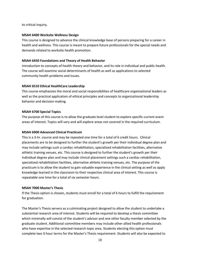to critical inquiry*.*

#### **MSAH 6400 Worksite Wellness Design**

This course is designed to advance the clinical knowledge base of persons preparing for a career in health and wellness. This course is meant to prepare future professionals for the special needs and demands related to worksite health promotion.

### **MSAH 6450 Foundations and Theory of Health Behavior**

Introduction to concepts of health theory and behavior, and its role in individual and public health. The course will examine social determinants of health as well as applications to selected community health problems and issues.

### **MSAH 6510 Ethical HealthCare Leadership**

This course emphasizes the moral and social responsibilities of healthcare organizational leaders as well as the practical application of ethical principles and concepts to organizational leadership behavior and decision-making.

### **MSAH 6700 Special Topics**

The purpose of this course is to allow the graduate level student to explore specific current event areas of interest. Topics will vary and will explore areas not covered in the required curriculum.

### **MSAH 6900 Advanced Clinical Practicum**

This is a 3-hr. course and may be repeated one time for a total of 6 credit hours. Clinical placements are to be designed to further the student's growth per their individual degree plan and may include settings such a cardiac rehabilitation, specialized rehabilitation facilities, alternative athletic training venues, etc. This course is designed to further the student's growth per their individual degree plan and may include clinical placement settings such a cardiac rehabilitation, specialized rehabilitation facilities, alternative athletic training venues, etc. The purpose of the practicum is to allow the student to gain valuable experience in the clinical setting as well as apply knowledge learned in the classroom to their respective clinical area of interest. This course is repeatable one time for a total of six semester hours.

### **MSAH 7000 Master's Thesis**

If the Thesis option is chosen, students must enroll for a total of 6 hours to fulfill the requirement for graduation.

The Master's Thesis servers as a culminating project designed to allow the student to undertake a substantial research area of interest. Students will be required to develop a thesis committee which minimally will consist of the student's advisor and one other faculty member selected by the graduate student. Additional committee members may include other allied health professionals who have expertise in the selected research topic area. Students electing this option must complete two 3-hour terms for the Master's Thesis requirement. Students will also be expected to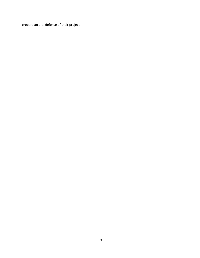prepare an oral defense of their project.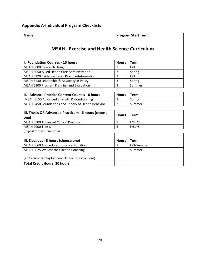**Total Credit Hours: 30 hours**

### <span id="page-19-0"></span>**Name: Program Start Term:**

## **MSAH - Exercise and Health Science Curriculum**

| <b>I. Foundation Courses - 15 hours</b>       | <b>Hours</b> | Term   |
|-----------------------------------------------|--------------|--------|
| MSAH 5000 Research Design                     |              | Fall   |
| MSAH 5050 Allied Health Care Administration   |              | Spring |
| MSAH 5220 Evidence Based Practice/Informatics |              | Fall   |
| MSAH 5230 Leadership & Advocacy in Policy     |              | Spring |
| MSAH 5300 Program Planning and Evaluation     |              | Summer |
|                                               |              |        |

| II. Advance Practice Content Courses - 6 hours      | <b>Hours</b> | Геrm   |
|-----------------------------------------------------|--------------|--------|
| MSAH 5150 Advanced Strength & Conditioning          |              | Spring |
| MSAH 6450 Foundations and Theory of Health Behavior |              | Summer |
|                                                     |              |        |

| III. Thesis OR Advanced Practicum - 6 hours (choose<br>one) | <b>Hours</b> | Term        |
|-------------------------------------------------------------|--------------|-------------|
| MSAH 6900 Advanced Clinical Practicum                       | 3            | F/Sp/Smr    |
| MSAH 7000 Thesis                                            | 3            | F/Sp/Smr    |
| (Repeat for two semesters)                                  |              |             |
|                                                             |              |             |
| III. Electives - 3 hours (choose one)                       | <b>Hours</b> | Term        |
| MSAH 5660 Applied Performance Nutrition                     | 3            | Fall/Summer |
| MSAH 5025 Wellcoaches Health Coaching                       | 3            | Summer      |
| (Visit course catalog for more elective course options)     |              |             |